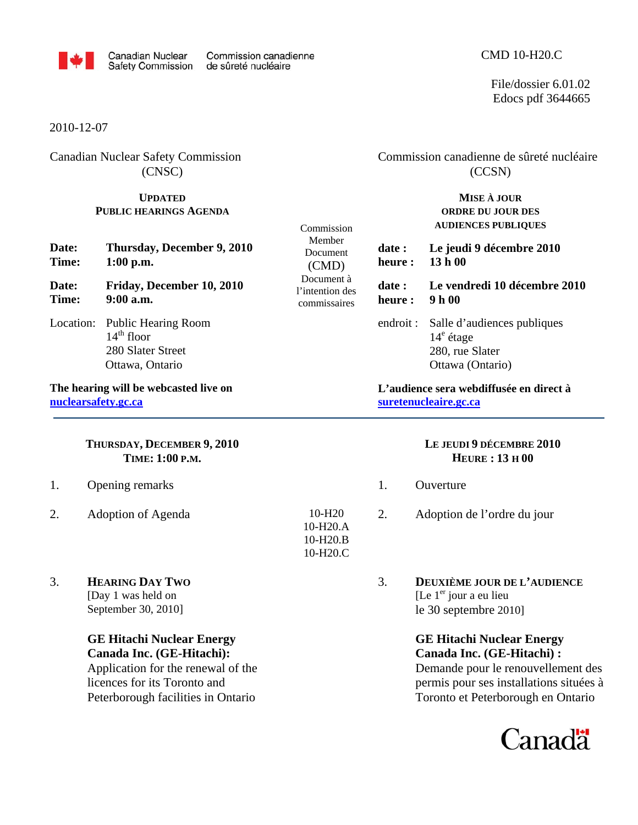

Commission Member Document (CMD) Document à l'intention des commissaires

> 10-H20 10-H20.A 10-H20.B 10-H20.C

File/dossier 6.01.02 Edocs pdf 3644665

2010-12-07

Canadian Nuclear Safety Commission (CNSC)

## **UPDATED PUBLIC HEARINGS AGENDA**

 Commission canadienne de sûreté nucléaire (CCSN)

> **MISE À JOUR ORDRE DU JOUR DES AUDIENCES PUBLIQUES**

**date : Le jeudi 9 décembre 2010 heure : 13 h 00** 

**date : Le vendredi 10 décembre 2010** 

**heure : 9 h 00** 

endroit : Salle d'audiences publiques 14<sup>e</sup> étage 280, rue Slater Ottawa (Ontario)

## **L'audience sera webdiffusée en direct à suretenucleaire.gc.ca**

## **LE JEUDI 9 DÉCEMBRE 2010 HEURE : 13 H 00**

- 1. Ouverture
- 2. Adoption de l'ordre du jour
- 3. **DEUXIÈME JOUR DE L'AUDIENCE** [Le  $1<sup>er</sup>$  jour a eu lieu le 30 septembre 2010]

 **GE Hitachi Nuclear Energy Canada Inc. (GE-Hitachi) :**  Demande pour le renouvellement des permis pour ses installations situées à Toronto et Peterborough en Ontario



**Date: Thursday, December 9, 2010 Time: 1:00 p.m.** 

**Date: Friday, December 10, 2010 Time: 9:00 a.m.** 

Location: Public Hearing Room  $14<sup>th</sup>$  floor 280 Slater Street Ottawa, Ontario

**The hearing will be webcasted live on nuclearsafety.gc.ca**

## **THURSDAY, DECEMBER 9, 2010 TIME: 1:00 P.M.**

- 1. Opening remarks
- 2. Adoption of Agenda
- 3. **HEARING DAY TWO**

[Day 1 was held on September 30, 2010]

# **GE Hitachi Nuclear Energy Canada Inc. (GE-Hitachi):**

Application for the renewal of the licences for its Toronto and Peterborough facilities in Ontario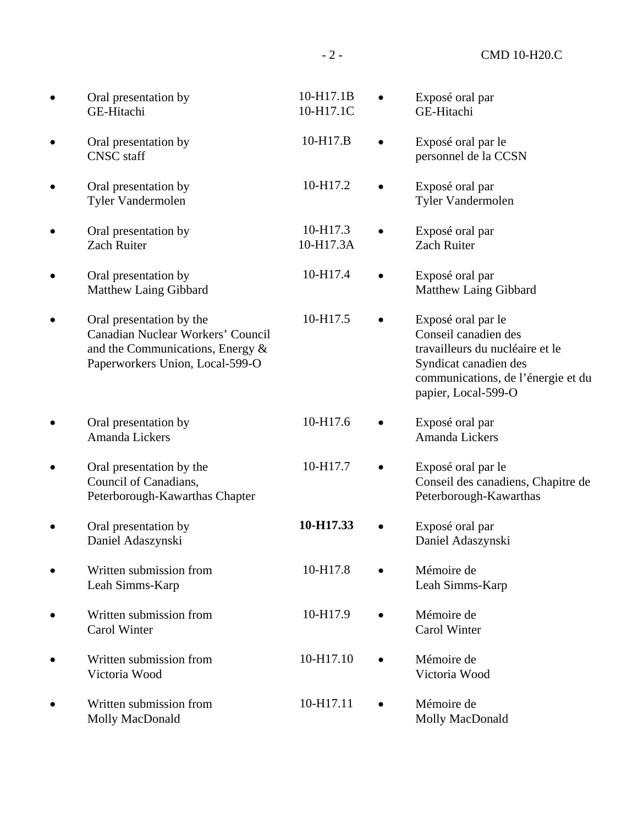| Oral presentation by<br>GE-Hitachi                                                                                                      | 10-H17.1B<br>10-H17.1C | Exposé oral par<br>GE-Hitachi                                                                                                                                       |
|-----------------------------------------------------------------------------------------------------------------------------------------|------------------------|---------------------------------------------------------------------------------------------------------------------------------------------------------------------|
| Oral presentation by<br><b>CNSC</b> staff                                                                                               | 10-H17.B               | Exposé oral par le<br>personnel de la CCSN                                                                                                                          |
| Oral presentation by<br>Tyler Vandermolen                                                                                               | 10-H17.2               | Exposé oral par<br>Tyler Vandermolen                                                                                                                                |
| Oral presentation by<br><b>Zach Ruiter</b>                                                                                              | 10-H17.3<br>10-H17.3A  | Exposé oral par<br><b>Zach Ruiter</b>                                                                                                                               |
| Oral presentation by<br>Matthew Laing Gibbard                                                                                           | 10-H17.4               | Exposé oral par<br>Matthew Laing Gibbard                                                                                                                            |
| Oral presentation by the<br>Canadian Nuclear Workers' Council<br>and the Communications, Energy $\&$<br>Paperworkers Union, Local-599-O | 10-H17.5               | Exposé oral par le<br>Conseil canadien des<br>travailleurs du nucléaire et le<br>Syndicat canadien des<br>communications, de l'énergie et du<br>papier, Local-599-O |
| Oral presentation by<br>Amanda Lickers                                                                                                  | 10-H17.6               | Exposé oral par<br>Amanda Lickers                                                                                                                                   |
| Oral presentation by the<br>Council of Canadians,<br>Peterborough-Kawarthas Chapter                                                     | 10-H17.7               | Exposé oral par le<br>Conseil des canadiens, Chapitre de<br>Peterborough-Kawarthas                                                                                  |
| Oral presentation by<br>Daniel Adaszynski                                                                                               | 10-H17.33              | Exposé oral par<br>Daniel Adaszynski                                                                                                                                |
| Written submission from<br>Leah Simms-Karp                                                                                              | 10-H17.8               | Mémoire de<br>Leah Simms-Karp                                                                                                                                       |
| Written submission from<br>Carol Winter                                                                                                 | 10-H17.9               | Mémoire de<br>Carol Winter                                                                                                                                          |
| Written submission from<br>Victoria Wood                                                                                                | 10-H17.10              | Mémoire de<br>Victoria Wood                                                                                                                                         |
| Written submission from<br>Molly MacDonald                                                                                              | 10-H17.11              | Mémoire de<br>Molly MacDonald                                                                                                                                       |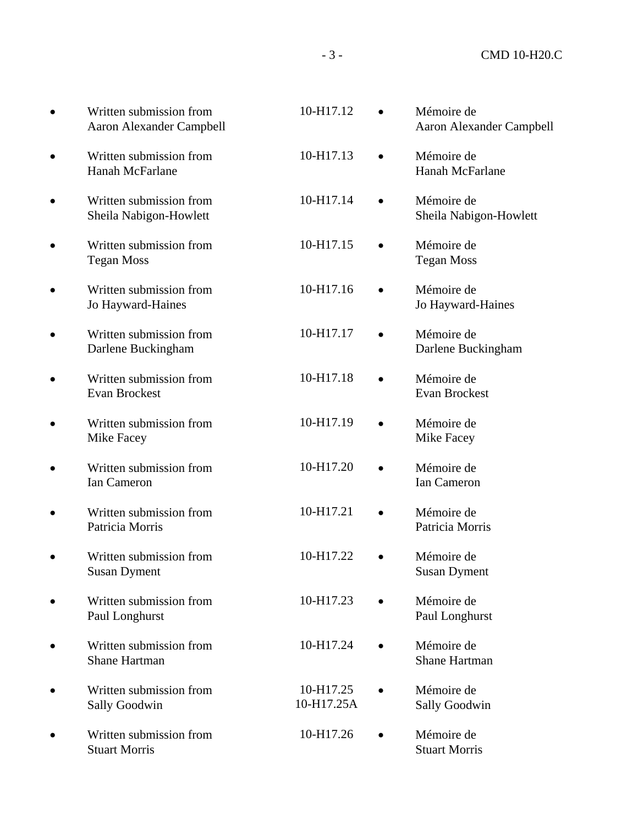| Written submission from<br><b>Aaron Alexander Campbell</b> | 10-H17.12               |           | Mémoire de<br><b>Aaron Alexander Campbell</b> |
|------------------------------------------------------------|-------------------------|-----------|-----------------------------------------------|
| Written submission from<br>Hanah McFarlane                 | 10-H17.13               |           | Mémoire de<br>Hanah McFarlane                 |
| Written submission from<br>Sheila Nabigon-Howlett          | 10-H17.14               |           | Mémoire de<br>Sheila Nabigon-Howlett          |
| Written submission from<br><b>Tegan Moss</b>               | 10-H17.15               |           | Mémoire de<br><b>Tegan Moss</b>               |
| Written submission from<br>Jo Hayward-Haines               | 10-H17.16               |           | Mémoire de<br>Jo Hayward-Haines               |
| Written submission from<br>Darlene Buckingham              | 10-H17.17               |           | Mémoire de<br>Darlene Buckingham              |
| Written submission from<br>Evan Brockest                   | 10-H17.18               | $\bullet$ | Mémoire de<br>Evan Brockest                   |
| Written submission from<br>Mike Facey                      | 10-H17.19               |           | Mémoire de<br>Mike Facey                      |
| Written submission from<br>Ian Cameron                     | 10-H17.20               |           | Mémoire de<br>Ian Cameron                     |
| Written submission from<br>Patricia Morris                 | 10-H17.21               |           | Mémoire de<br>Patricia Morris                 |
| Written submission from<br><b>Susan Dyment</b>             | 10-H17.22               |           | Mémoire de<br><b>Susan Dyment</b>             |
| Written submission from<br>Paul Longhurst                  | 10-H17.23               |           | Mémoire de<br>Paul Longhurst                  |
| Written submission from<br><b>Shane Hartman</b>            | 10-H17.24               |           | Mémoire de<br><b>Shane Hartman</b>            |
| Written submission from<br><b>Sally Goodwin</b>            | 10-H17.25<br>10-H17.25A |           | Mémoire de<br><b>Sally Goodwin</b>            |
| Written submission from<br><b>Stuart Morris</b>            | 10-H17.26               | $\bullet$ | Mémoire de<br><b>Stuart Morris</b>            |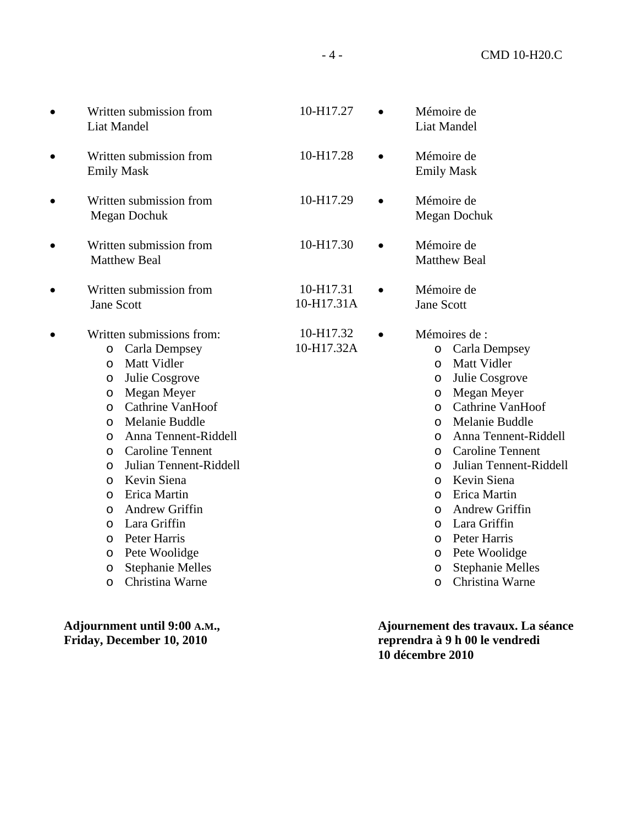|           | Written submission from<br>Liat Mandel                                                                                                                                                                                                                                                                                                                                                                                                                                                                                                        | 10-H17.27               |           | Mémoire de<br><b>Liat Mandel</b>                                                                                                                                                                                                                                                                                                                                                                                                                                                                                                             |
|-----------|-----------------------------------------------------------------------------------------------------------------------------------------------------------------------------------------------------------------------------------------------------------------------------------------------------------------------------------------------------------------------------------------------------------------------------------------------------------------------------------------------------------------------------------------------|-------------------------|-----------|----------------------------------------------------------------------------------------------------------------------------------------------------------------------------------------------------------------------------------------------------------------------------------------------------------------------------------------------------------------------------------------------------------------------------------------------------------------------------------------------------------------------------------------------|
| $\bullet$ | Written submission from<br><b>Emily Mask</b>                                                                                                                                                                                                                                                                                                                                                                                                                                                                                                  | 10-H17.28               |           | Mémoire de<br><b>Emily Mask</b>                                                                                                                                                                                                                                                                                                                                                                                                                                                                                                              |
| $\bullet$ | Written submission from<br>Megan Dochuk                                                                                                                                                                                                                                                                                                                                                                                                                                                                                                       | 10-H17.29               |           | Mémoire de<br>Megan Dochuk                                                                                                                                                                                                                                                                                                                                                                                                                                                                                                                   |
| $\bullet$ | Written submission from<br><b>Matthew Beal</b>                                                                                                                                                                                                                                                                                                                                                                                                                                                                                                | 10-H17.30               | $\bullet$ | Mémoire de<br><b>Matthew Beal</b>                                                                                                                                                                                                                                                                                                                                                                                                                                                                                                            |
| $\bullet$ | Written submission from<br><b>Jane Scott</b>                                                                                                                                                                                                                                                                                                                                                                                                                                                                                                  | 10-H17.31<br>10-H17.31A |           | Mémoire de<br><b>Jane Scott</b>                                                                                                                                                                                                                                                                                                                                                                                                                                                                                                              |
| $\bullet$ | Written submissions from:<br><b>Carla Dempsey</b><br>$\circ$<br>Matt Vidler<br>$\circ$<br>Julie Cosgrove<br>O<br>Megan Meyer<br>$\circ$<br>Cathrine VanHoof<br>$\circ$<br>Melanie Buddle<br>$\circ$<br>Anna Tennent-Riddell<br>$\circ$<br><b>Caroline Tennent</b><br>O<br>Julian Tennent-Riddell<br>$\circ$<br>Kevin Siena<br>$\circ$<br>Erica Martin<br>$\circ$<br>Andrew Griffin<br>$\circ$<br>Lara Griffin<br>$\circ$<br>Peter Harris<br>$\circ$<br>Pete Woolidge<br>O<br><b>Stephanie Melles</b><br>$\circ$<br>Christina Warne<br>$\circ$ | 10-H17.32<br>10-H17.32A | $\bullet$ | Mémoires de :<br>Carla Dempsey<br>$\circ$<br>Matt Vidler<br>$\circ$<br>Julie Cosgrove<br>$\circ$<br>Megan Meyer<br>$\circ$<br>Cathrine VanHoof<br>$\circ$<br>Melanie Buddle<br>$\circ$<br>Anna Tennent-Riddell<br>$\circ$<br><b>Caroline Tennent</b><br>$\circ$<br>Julian Tennent-Riddell<br>$\circ$<br>Kevin Siena<br>$\circ$<br>Erica Martin<br>$\circ$<br>Andrew Griffin<br>$\circ$<br>Lara Griffin<br>$\circ$<br>Peter Harris<br>$\circ$<br>Pete Woolidge<br>$\circ$<br><b>Stephanie Melles</b><br>$\circ$<br>Christina Warne<br>$\circ$ |

**Adjournment until 9:00 A.M., Friday, December 10, 2010** 

 **Ajournement des travaux. La séance reprendra à 9 h 00 le vendredi 10 décembre 2010**